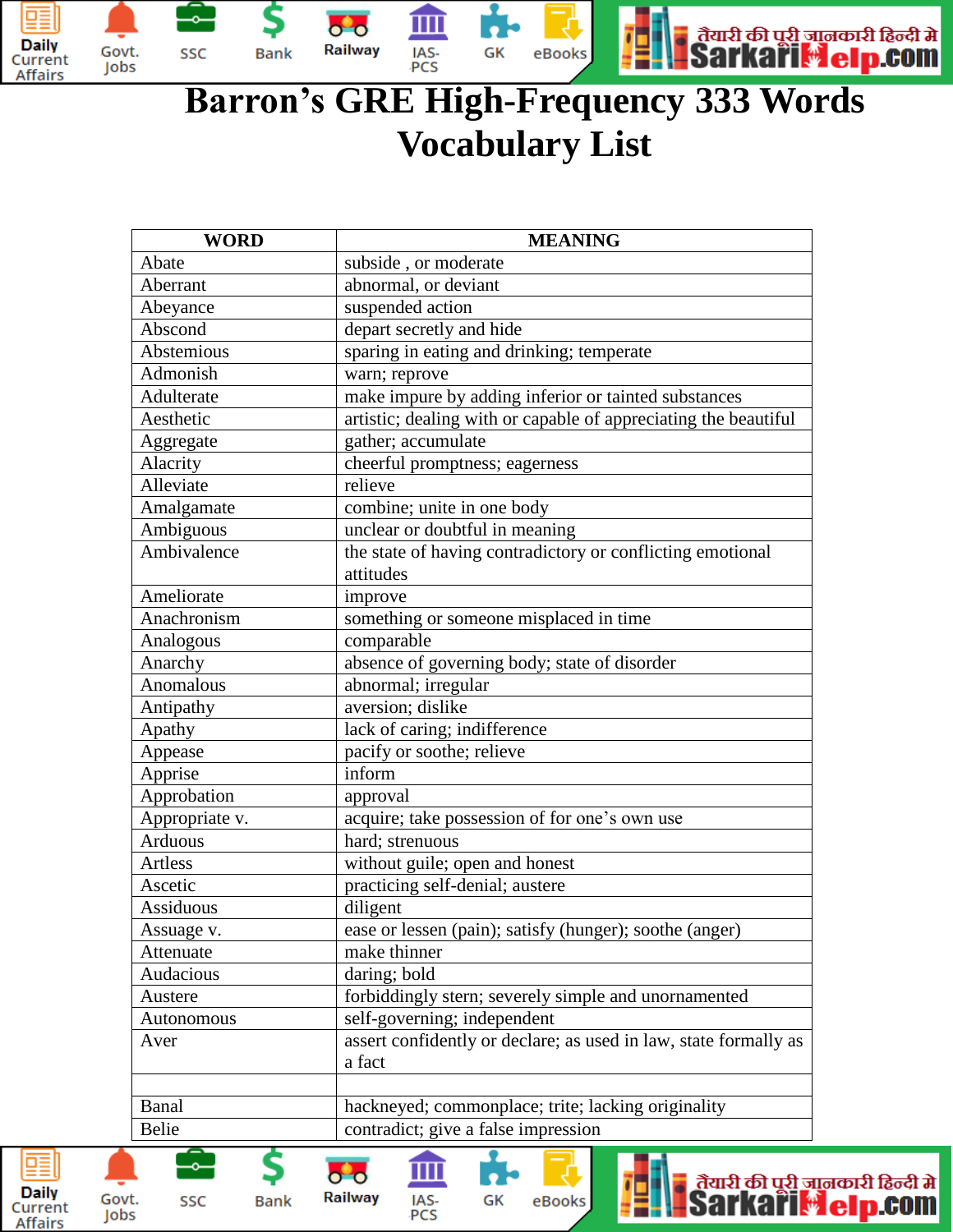

## **Barron's GRE High-Frequency 333 Words Vocabulary List**

| <b>WORD</b>                                                                                                                                     | <b>MEANING</b>                                                   |
|-------------------------------------------------------------------------------------------------------------------------------------------------|------------------------------------------------------------------|
| Abate                                                                                                                                           | subside, or moderate                                             |
| Aberrant                                                                                                                                        | abnormal, or deviant                                             |
| Abeyance                                                                                                                                        | suspended action                                                 |
| Abscond                                                                                                                                         | depart secretly and hide                                         |
| Abstemious                                                                                                                                      | sparing in eating and drinking; temperate                        |
| Admonish                                                                                                                                        | warn; reprove                                                    |
| Adulterate                                                                                                                                      | make impure by adding inferior or tainted substances             |
| Aesthetic                                                                                                                                       | artistic; dealing with or capable of appreciating the beautiful  |
| Aggregate                                                                                                                                       | gather; accumulate                                               |
| Alacrity                                                                                                                                        | cheerful promptness; eagerness                                   |
| Alleviate                                                                                                                                       | relieve                                                          |
| Amalgamate                                                                                                                                      | combine; unite in one body                                       |
| Ambiguous                                                                                                                                       | unclear or doubtful in meaning                                   |
| Ambivalence                                                                                                                                     | the state of having contradictory or conflicting emotional       |
|                                                                                                                                                 | attitudes                                                        |
| Ameliorate                                                                                                                                      | improve                                                          |
| Anachronism                                                                                                                                     | something or someone misplaced in time                           |
| Analogous                                                                                                                                       | comparable                                                       |
| Anarchy                                                                                                                                         | absence of governing body; state of disorder                     |
| Anomalous                                                                                                                                       | abnormal; irregular                                              |
| Antipathy                                                                                                                                       | aversion; dislike                                                |
| Apathy                                                                                                                                          | lack of caring; indifference                                     |
| Appease                                                                                                                                         | pacify or soothe; relieve                                        |
| Apprise                                                                                                                                         | inform                                                           |
| Approbation                                                                                                                                     | approval                                                         |
| Appropriate v.                                                                                                                                  | acquire; take possession of for one's own use                    |
| Arduous                                                                                                                                         | hard; strenuous                                                  |
| Artless                                                                                                                                         | without guile; open and honest                                   |
| Ascetic                                                                                                                                         | practicing self-denial; austere                                  |
| Assiduous                                                                                                                                       | diligent                                                         |
| Assuage v.                                                                                                                                      | ease or lessen (pain); satisfy (hunger); soothe (anger)          |
| Attenuate                                                                                                                                       | make thinner                                                     |
| Audacious                                                                                                                                       | daring; bold                                                     |
| Austere                                                                                                                                         | forbiddingly stern; severely simple and unornamented             |
| Autonomous                                                                                                                                      | self-governing; independent                                      |
| Aver                                                                                                                                            | assert confidently or declare; as used in law, state formally as |
|                                                                                                                                                 | a fact                                                           |
|                                                                                                                                                 |                                                                  |
| Banal                                                                                                                                           | hackneyed; commonplace; trite; lacking originality               |
| Belie                                                                                                                                           | contradict; give a false impression                              |
| तैयारी की पूरी जानकारी हिन्दी में<br>Sarkari <mark>. Leip.com</mark><br>Railway<br>IAS-<br>t.<br>GK<br>SSC<br>eBooks<br><b>Bank</b><br>PCS<br>s |                                                                  |

IAS-<br>PCS

醕

**Daily** 

Current

**Affairs** 

Govt.

Jobs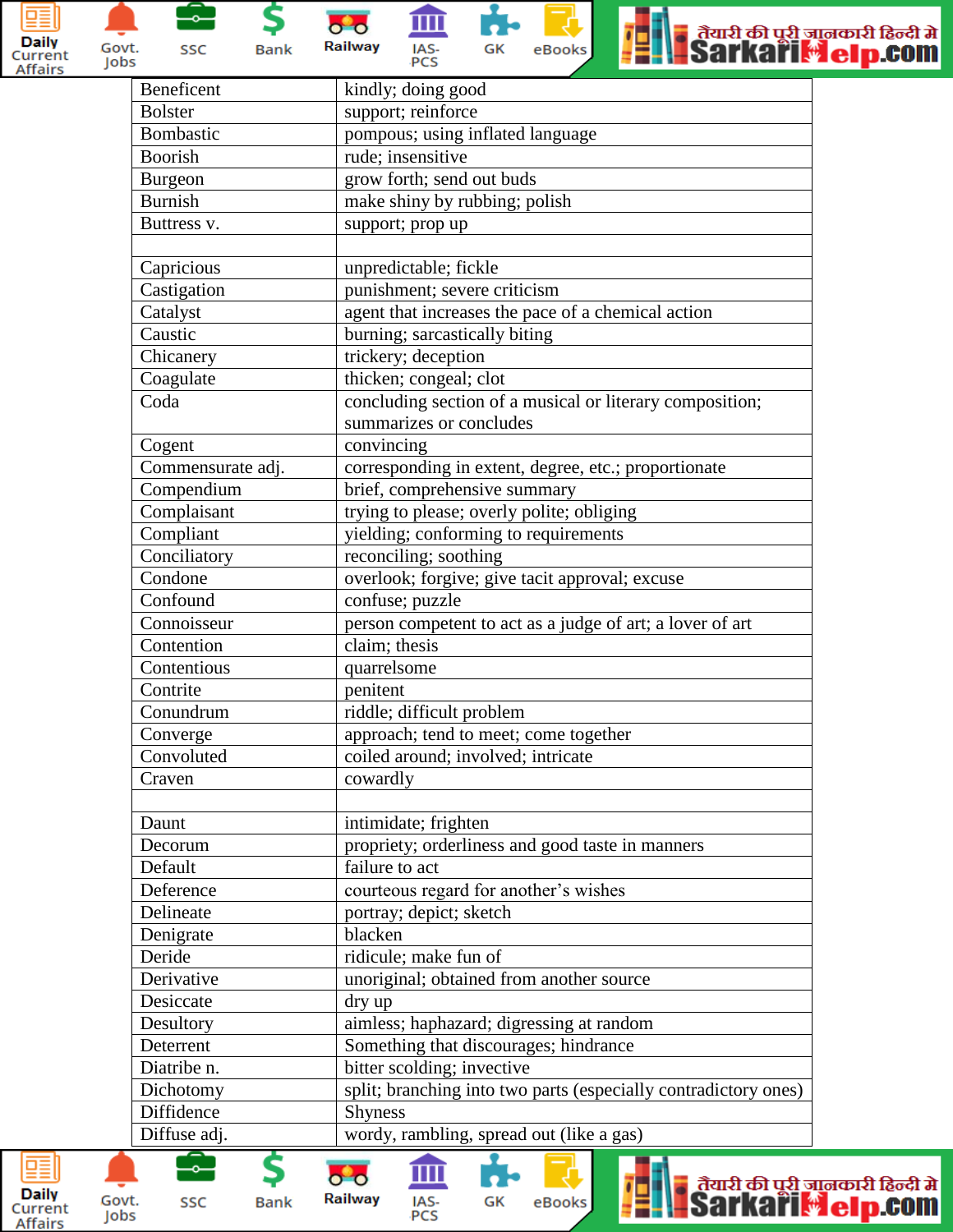

Govt.

Jobs

 $\overline{\ }$ SSC

\$ **Bank** 

IAS-<br>PCS Railway

 $\bullet$   $\bullet$ 

血





| Beneficent        | kindly; doing good                                              |
|-------------------|-----------------------------------------------------------------|
| <b>Bolster</b>    | support; reinforce                                              |
| Bombastic         | pompous; using inflated language                                |
| Boorish           | rude; insensitive                                               |
| Burgeon           | grow forth; send out buds                                       |
| <b>Burnish</b>    | make shiny by rubbing; polish                                   |
| Buttress v.       | support; prop up                                                |
|                   |                                                                 |
| Capricious        | unpredictable; fickle                                           |
| Castigation       | punishment; severe criticism                                    |
| Catalyst          | agent that increases the pace of a chemical action              |
| Caustic           | burning; sarcastically biting                                   |
| Chicanery         | trickery; deception                                             |
| Coagulate         | thicken; congeal; clot                                          |
| Coda              | concluding section of a musical or literary composition;        |
|                   | summarizes or concludes                                         |
| Cogent            | convincing                                                      |
| Commensurate adj. | corresponding in extent, degree, etc.; proportionate            |
| Compendium        | brief, comprehensive summary                                    |
| Complaisant       | trying to please; overly polite; obliging                       |
| Compliant         | yielding; conforming to requirements                            |
| Conciliatory      | reconciling; soothing                                           |
| Condone           | overlook; forgive; give tacit approval; excuse                  |
| Confound          | confuse; puzzle                                                 |
| Connoisseur       | person competent to act as a judge of art; a lover of art       |
| Contention        | claim; thesis                                                   |
| Contentious       | quarrelsome                                                     |
| Contrite          | penitent                                                        |
| Conundrum         | riddle; difficult problem                                       |
| Converge          | approach; tend to meet; come together                           |
| Convoluted        | coiled around; involved; intricate                              |
| Craven            | cowardly                                                        |
|                   |                                                                 |
| Daunt             | intimidate; frighten                                            |
| Decorum           | propriety; orderliness and good taste in manners                |
| Default           | failure to act                                                  |
| Deference         | courteous regard for another's wishes                           |
| Delineate         | portray; depict; sketch                                         |
| Denigrate         | blacken                                                         |
| Deride            | ridicule; make fun of                                           |
| Derivative        | unoriginal; obtained from another source                        |
| Desiccate         |                                                                 |
| Desultory         | dry up<br>aimless; haphazard; digressing at random              |
| Deterrent         | Something that discourages; hindrance                           |
|                   |                                                                 |
| Diatribe n.       | bitter scolding; invective                                      |
| Dichotomy         | split; branching into two parts (especially contradictory ones) |
| Diffidence        | <b>Shyness</b>                                                  |
| Diffuse adj.      | wordy, rambling, spread out (like a gas)                        |
|                   | ਾ ਕਿਸ ਕਿੱਚ ਕਿ                                                   |



Govt.

Jobs

SSC



Railway

**Bank** 

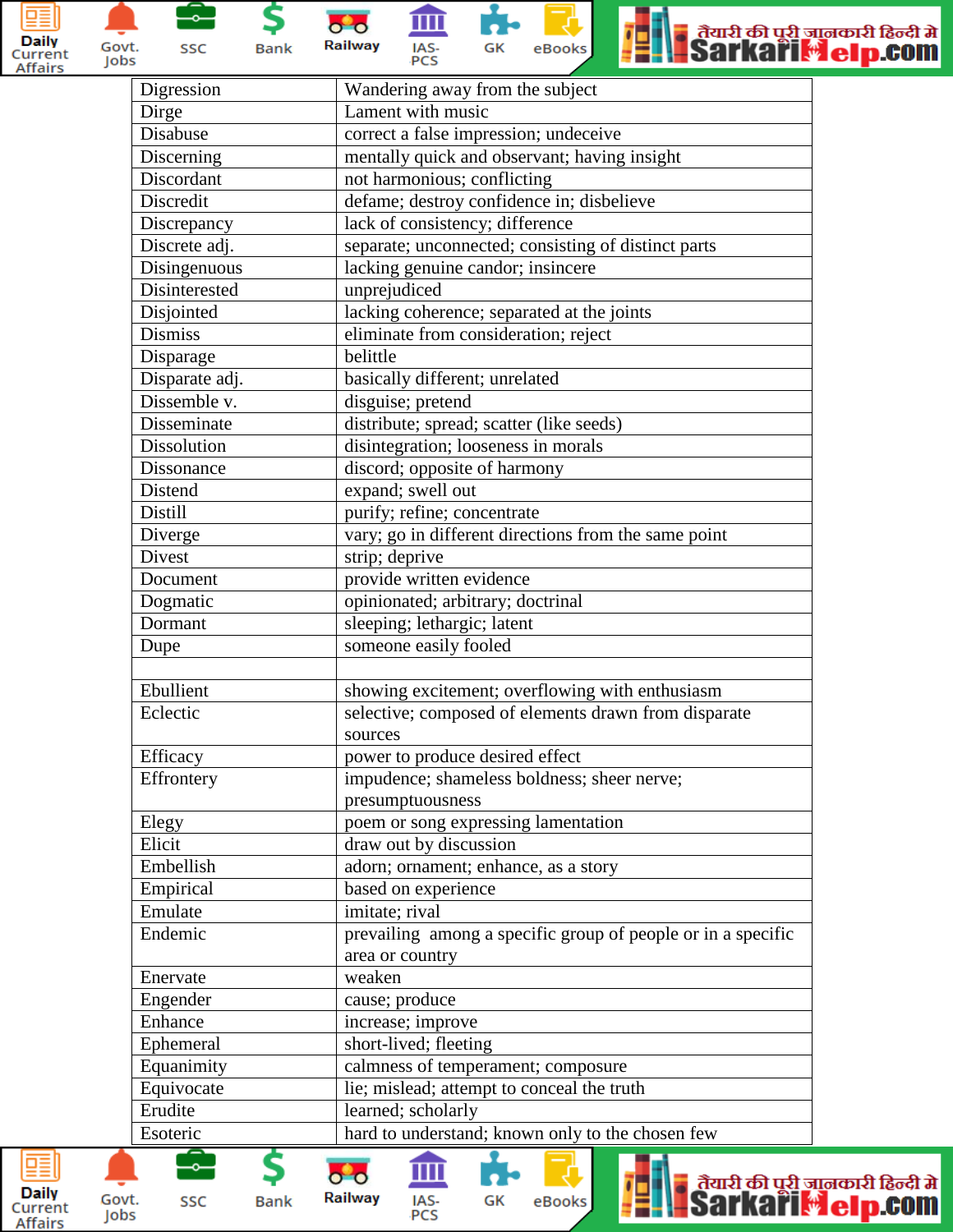



\$ ⊸⊣ SSC **Bank** 

 $\bullet$   $\bullet$ Railway



血

IAS-<br>PCS



■ तैयारी की पूरी जानकारी हिन्दी में<br>■Sarkari <mark>☆ el p.com</mark>

| Digression     | Wandering away from the subject                              |
|----------------|--------------------------------------------------------------|
| Dirge          | Lament with music                                            |
| Disabuse       | correct a false impression; undeceive                        |
| Discerning     | mentally quick and observant; having insight                 |
| Discordant     | not harmonious; conflicting                                  |
| Discredit      | defame; destroy confidence in; disbelieve                    |
| Discrepancy    | lack of consistency; difference                              |
| Discrete adj.  | separate; unconnected; consisting of distinct parts          |
| Disingenuous   | lacking genuine candor; insincere                            |
| Disinterested  | unprejudiced                                                 |
| Disjointed     | lacking coherence; separated at the joints                   |
| <b>Dismiss</b> | eliminate from consideration; reject                         |
| Disparage      | belittle                                                     |
| Disparate adj. | basically different; unrelated                               |
| Dissemble v.   | disguise; pretend                                            |
| Disseminate    | distribute; spread; scatter (like seeds)                     |
| Dissolution    | disintegration; looseness in morals                          |
| Dissonance     | discord; opposite of harmony                                 |
| Distend        | expand; swell out                                            |
| Distill        | purify; refine; concentrate                                  |
| Diverge        | vary; go in different directions from the same point         |
| Divest         | strip; deprive                                               |
| Document       | provide written evidence                                     |
| Dogmatic       | opinionated; arbitrary; doctrinal                            |
| Dormant        | sleeping; lethargic; latent                                  |
| Dupe           | someone easily fooled                                        |
|                |                                                              |
| Ebullient      | showing excitement; overflowing with enthusiasm              |
| Eclectic       | selective; composed of elements drawn from disparate         |
|                | sources                                                      |
| Efficacy       | power to produce desired effect                              |
| Effrontery     | impudence; shameless boldness; sheer nerve;                  |
|                | presumptuousness                                             |
| Elegy          | poem or song expressing lamentation                          |
| Elicit         | draw out by discussion                                       |
| Embellish      | adorn; ornament; enhance, as a story                         |
| Empirical      | based on experience                                          |
| Emulate        | imitate; rival                                               |
| Endemic        | prevailing among a specific group of people or in a specific |
|                | area or country                                              |
| Enervate       | weaken                                                       |
| Engender       | cause; produce                                               |
| Enhance        | increase; improve                                            |
| Ephemeral      | short-lived; fleeting                                        |
| Equanimity     | calmness of temperament; composure                           |
| Equivocate     | lie; mislead; attempt to conceal the truth                   |
| Erudite        | learned; scholarly                                           |
| Esoteric       | hard to understand; known only to the chosen few             |
|                | तैरााठी की घठी ज                                             |

eBooks

ä

₽

GK

Railway

**Bank** 

IAS-<br>PCS



Govt.

Jobs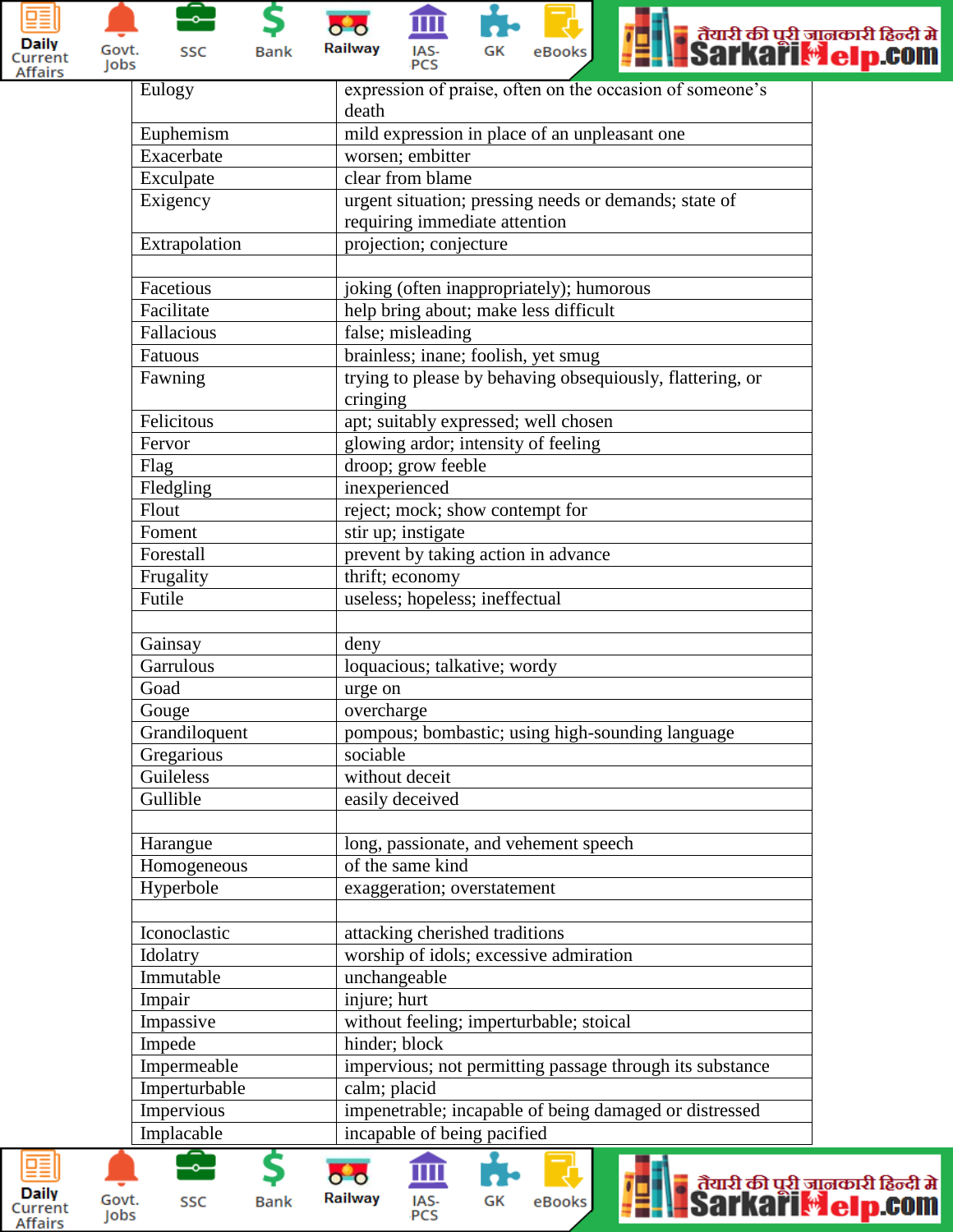



\$ **Bank** 









| Eulogy        | expression of praise, often on the occasion of someone's  |
|---------------|-----------------------------------------------------------|
|               | death                                                     |
| Euphemism     | mild expression in place of an unpleasant one             |
| Exacerbate    | worsen; embitter                                          |
| Exculpate     | clear from blame                                          |
| Exigency      | urgent situation; pressing needs or demands; state of     |
|               | requiring immediate attention                             |
| Extrapolation | projection; conjecture                                    |
|               |                                                           |
| Facetious     | joking (often inappropriately); humorous                  |
| Facilitate    | help bring about; make less difficult                     |
| Fallacious    | false; misleading                                         |
| Fatuous       | brainless; inane; foolish, yet smug                       |
| Fawning       | trying to please by behaving obsequiously, flattering, or |
|               | cringing                                                  |
| Felicitous    | apt; suitably expressed; well chosen                      |
| Fervor        | glowing ardor; intensity of feeling                       |
| Flag          | droop; grow feeble                                        |
| Fledgling     | inexperienced                                             |
| Flout         | reject; mock; show contempt for                           |
| Foment        | stir up; instigate                                        |
| Forestall     | prevent by taking action in advance                       |
| Frugality     | thrift; economy                                           |
| Futile        | useless; hopeless; ineffectual                            |
|               |                                                           |
| Gainsay       | deny                                                      |
| Garrulous     | loquacious; talkative; wordy                              |
| Goad          | urge on                                                   |
| Gouge         | overcharge                                                |
| Grandiloquent | pompous; bombastic; using high-sounding language          |
| Gregarious    | sociable                                                  |
| Guileless     | without deceit                                            |
| Gullible      | easily deceived                                           |
|               |                                                           |
| Harangue      | long, passionate, and vehement speech                     |
| Homogeneous   | of the same kind                                          |
| Hyperbole     | exaggeration; overstatement                               |
|               |                                                           |
| Iconoclastic  | attacking cherished traditions                            |
| Idolatry      | worship of idols; excessive admiration                    |
| Immutable     | unchangeable                                              |
| Impair        | injure; hurt                                              |
| Impassive     | without feeling; imperturbable; stoical                   |
| Impede        | hinder; block                                             |
| Impermeable   | impervious; not permitting passage through its substance  |
| Imperturbable | calm; placid                                              |
| Impervious    | impenetrable; incapable of being damaged or distressed    |
| Implacable    | incapable of being pacified                               |
|               |                                                           |





Govt.

Jobs

\$

**Bank** 



血

IAS-<br>PCS



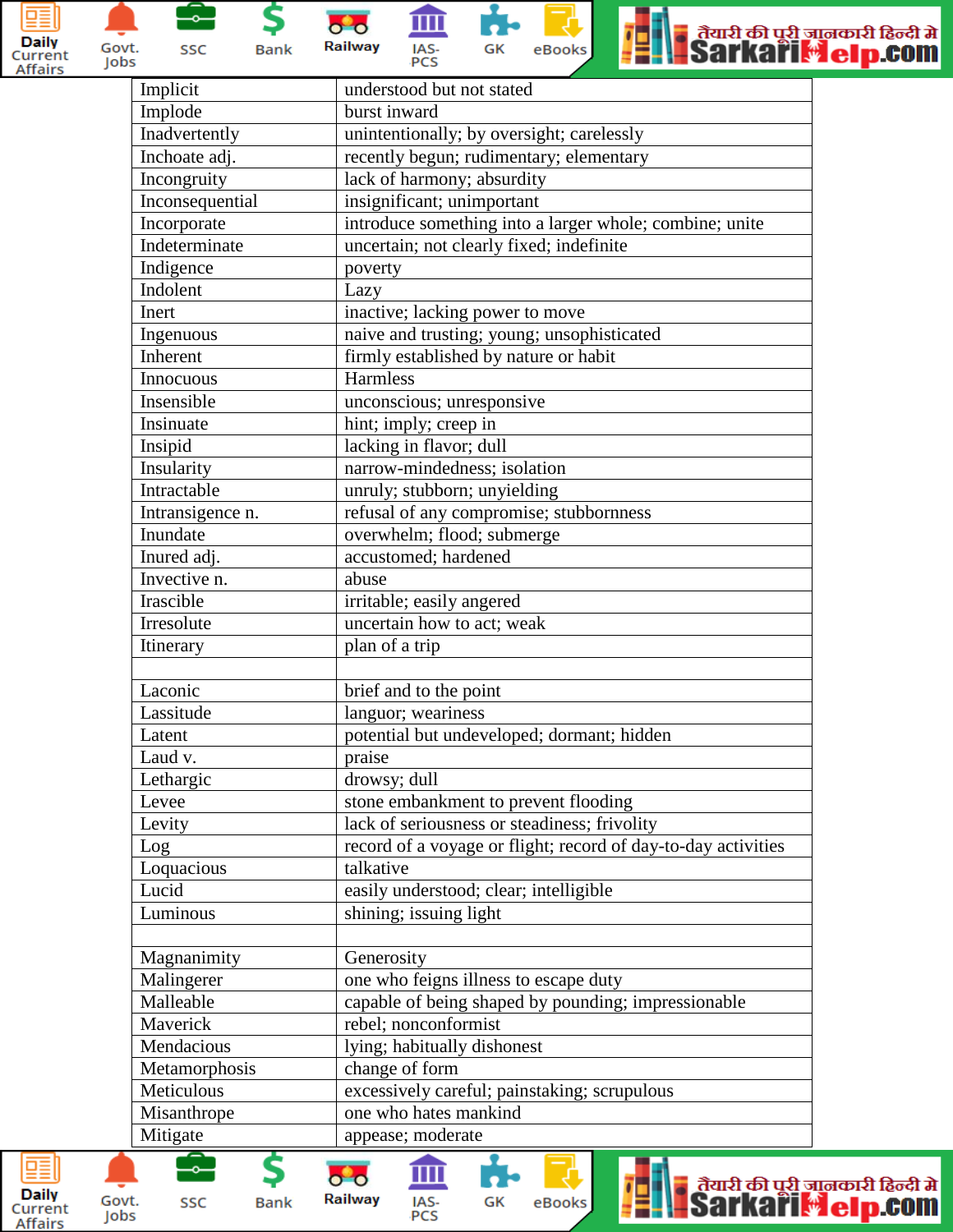



\$ SSC

 $\overline{\ }$ 

**Bank** 







| Implicit         | understood but not stated                                     |
|------------------|---------------------------------------------------------------|
| Implode          | burst inward                                                  |
| Inadvertently    | unintentionally; by oversight; carelessly                     |
| Inchoate adj.    | recently begun; rudimentary; elementary                       |
| Incongruity      | lack of harmony; absurdity                                    |
| Inconsequential  | insignificant; unimportant                                    |
| Incorporate      | introduce something into a larger whole; combine; unite       |
| Indeterminate    | uncertain; not clearly fixed; indefinite                      |
| Indigence        | poverty                                                       |
| Indolent         | Lazy                                                          |
| Inert            | inactive; lacking power to move                               |
| Ingenuous        | naive and trusting; young; unsophisticated                    |
| Inherent         | firmly established by nature or habit                         |
| Innocuous        | Harmless                                                      |
| Insensible       | unconscious; unresponsive                                     |
| Insinuate        | hint; imply; creep in                                         |
| Insipid          | lacking in flavor; dull                                       |
| Insularity       | narrow-mindedness; isolation                                  |
| Intractable      | unruly; stubborn; unyielding                                  |
| Intransigence n. | refusal of any compromise; stubbornness                       |
| Inundate         | overwhelm; flood; submerge                                    |
| Inured adj.      | accustomed; hardened                                          |
| Invective n.     |                                                               |
|                  | abuse                                                         |
| Irascible        | irritable; easily angered                                     |
| Irresolute       | uncertain how to act; weak                                    |
| Itinerary        | plan of a trip                                                |
|                  |                                                               |
| Laconic          | brief and to the point                                        |
| Lassitude        | languor; weariness                                            |
| Latent           | potential but undeveloped; dormant; hidden                    |
| Laud v.          | praise                                                        |
| Lethargic        | drowsy; dull                                                  |
| Levee            | stone embankment to prevent flooding                          |
| Levity           | lack of seriousness or steadiness; frivolity                  |
| Log              | record of a voyage or flight; record of day-to-day activities |
| Loquacious       | talkative                                                     |
| Lucid            | easily understood; clear; intelligible                        |
| Luminous         | shining; issuing light                                        |
|                  |                                                               |
| Magnanimity      | Generosity                                                    |
| Malingerer       | one who feigns illness to escape duty                         |
| Malleable        | capable of being shaped by pounding; impressionable           |
| Maverick         | rebel; nonconformist                                          |
| Mendacious       | lying; habitually dishonest                                   |
| Metamorphosis    | change of form                                                |
| Meticulous       | excessively careful; painstaking; scrupulous                  |
| Misanthrope      | one who hates mankind                                         |
| Mitigate         | appease; moderate                                             |
|                  |                                                               |

ń.

GK

m

IAS-<br>PCS

귕

eBooks

ļ.

ä

ा तैयारी की पूरी जानकारी हिन्दी में<br>- Sarkari <mark>: el p.com</mark>



Govt.

Jobs

\$

**Bank** 

 $\bullet$   $\bullet$ 

**Railway** 

-62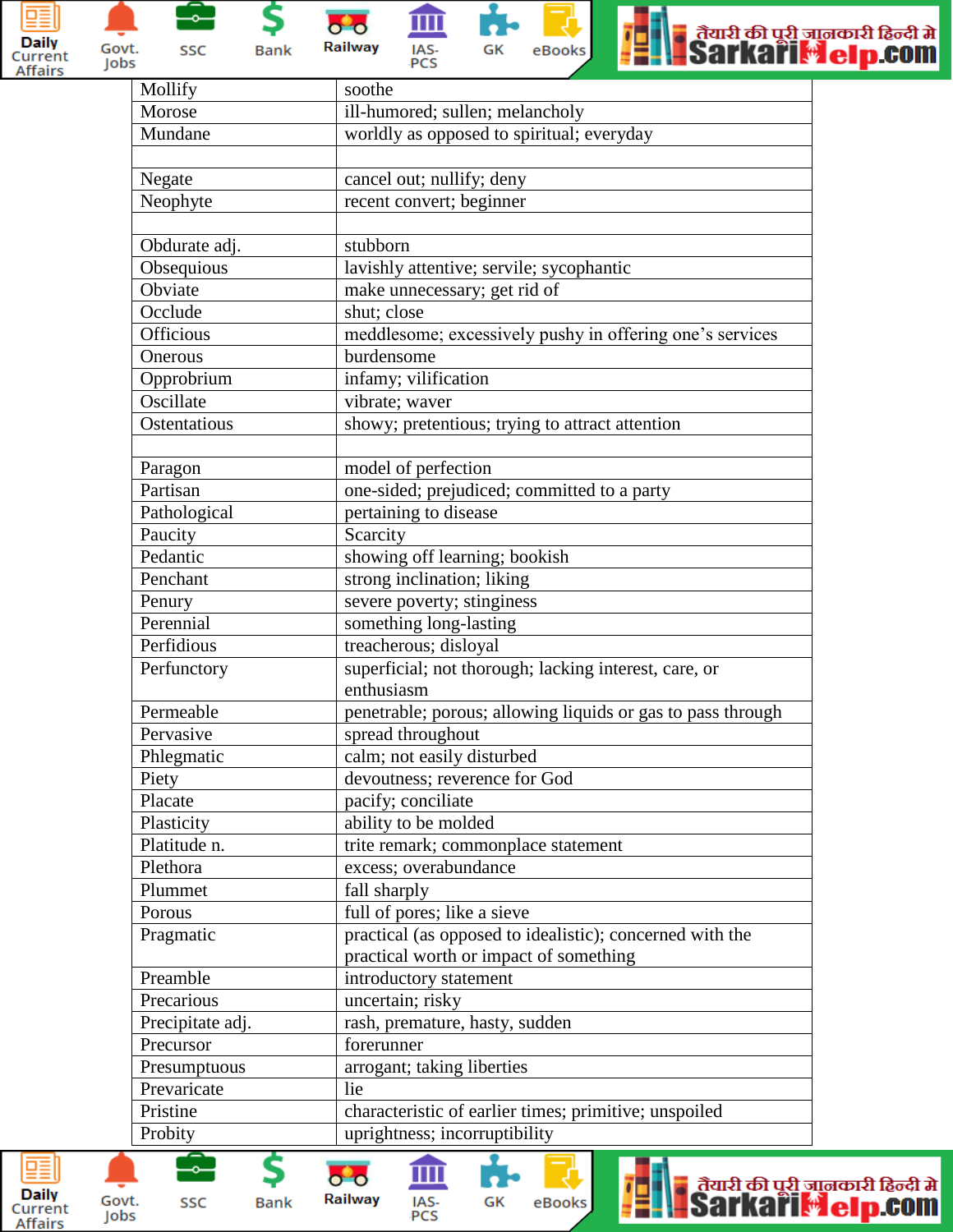



\$  $\overline{\phantom{0}}$ SSC **Bank** 

血  $\bullet$   $\bullet$ Railway IAS-<br>PCS





| Mollify          | soothe                                                      |
|------------------|-------------------------------------------------------------|
| Morose           | ill-humored; sullen; melancholy                             |
| Mundane          | worldly as opposed to spiritual; everyday                   |
|                  |                                                             |
| Negate           | cancel out; nullify; deny                                   |
| Neophyte         | recent convert; beginner                                    |
|                  |                                                             |
| Obdurate adj.    | stubborn                                                    |
| Obsequious       | lavishly attentive; servile; sycophantic                    |
| Obviate          | make unnecessary; get rid of                                |
| Occlude          | shut; close                                                 |
| <b>Officious</b> | meddlesome; excessively pushy in offering one's services    |
| Onerous          | burdensome                                                  |
| Opprobrium       | infamy; vilification                                        |
| Oscillate        | vibrate; waver                                              |
| Ostentatious     | showy; pretentious; trying to attract attention             |
|                  |                                                             |
| Paragon          | model of perfection                                         |
| Partisan         | one-sided; prejudiced; committed to a party                 |
| Pathological     | pertaining to disease                                       |
| Paucity          | Scarcity                                                    |
| Pedantic         | showing off learning; bookish                               |
| Penchant         | strong inclination; liking                                  |
| Penury           | severe poverty; stinginess                                  |
| Perennial        | something long-lasting                                      |
| Perfidious       | treacherous; disloyal                                       |
| Perfunctory      | superficial; not thorough; lacking interest, care, or       |
|                  | enthusiasm                                                  |
| Permeable        | penetrable; porous; allowing liquids or gas to pass through |
| Pervasive        | spread throughout                                           |
| Phlegmatic       | calm; not easily disturbed                                  |
| Piety            | devoutness; reverence for God                               |
| Placate          | pacify; conciliate                                          |
| Plasticity       | ability to be molded                                        |
| Platitude n.     | trite remark; commonplace statement                         |
| Plethora         | excess; overabundance                                       |
| Plummet          | fall sharply                                                |
| Porous           | full of pores; like a sieve                                 |
| Pragmatic        | practical (as opposed to idealistic); concerned with the    |
|                  | practical worth or impact of something                      |
| Preamble         | introductory statement                                      |
| Precarious       | uncertain; risky                                            |
| Precipitate adj. | rash, premature, hasty, sudden                              |
| Precursor        | forerunner                                                  |
| Presumptuous     | arrogant; taking liberties                                  |
| Prevaricate      | lie                                                         |
| Pristine         | characteristic of earlier times; primitive; unspoiled       |
| Probity          | uprightness; incorruptibility                               |
|                  |                                                             |

ń.

GK

m

IAS-<br>PCS

긯

eBooks





\$

**Bank** 

 $\bullet$   $\bullet$ 

**Railway** 

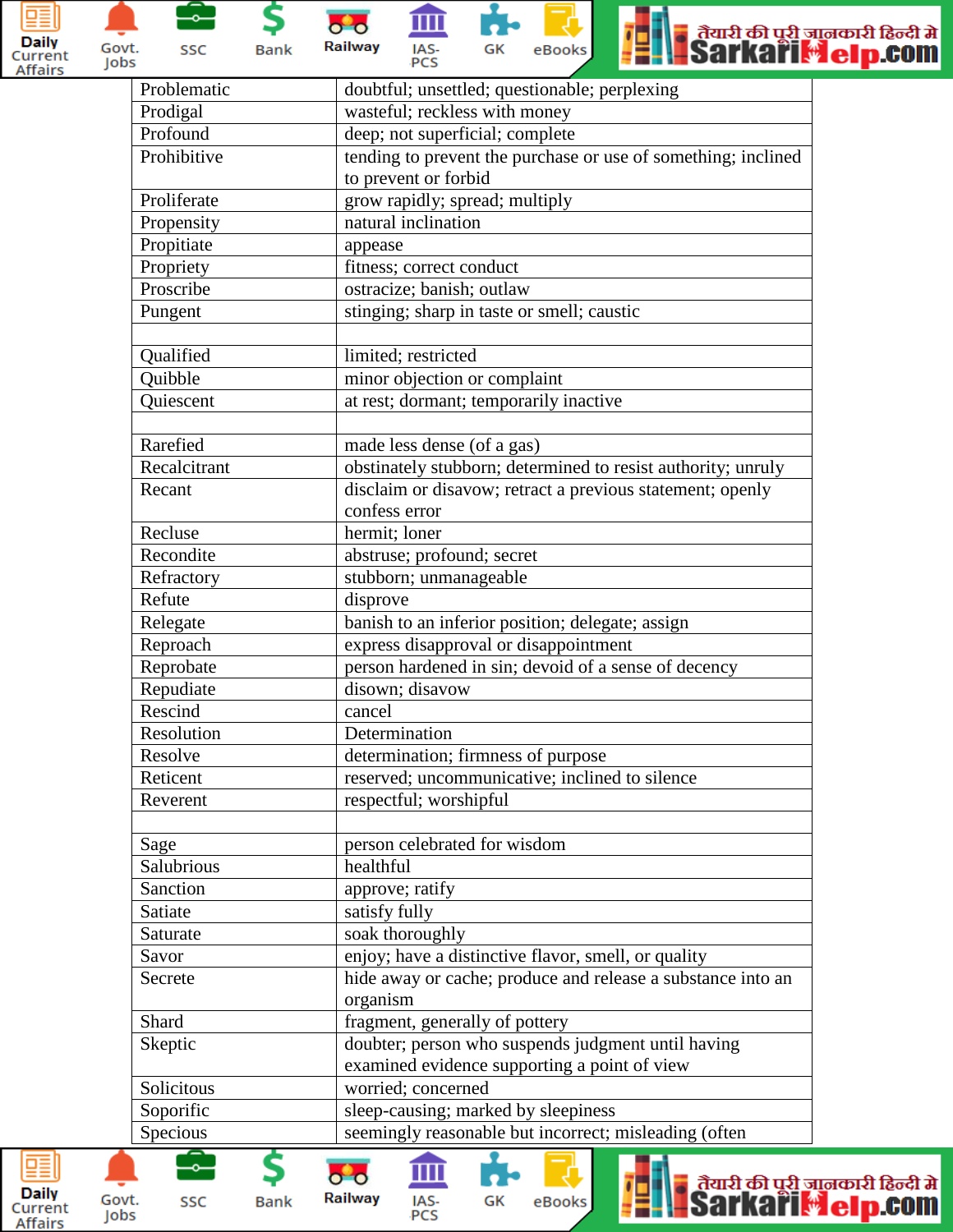

Govt.

Jobs



\$ **Bank** 

Railway IAS-<br>PCS

 $\bullet$   $\bullet$ 

Railway

**Bank** 

IAS-<br>PCS

m





| Problematic  | doubtful; unsettled; questionable; perplexing                 |
|--------------|---------------------------------------------------------------|
| Prodigal     | wasteful; reckless with money                                 |
| Profound     | deep; not superficial; complete                               |
| Prohibitive  | tending to prevent the purchase or use of something; inclined |
|              | to prevent or forbid                                          |
| Proliferate  | grow rapidly; spread; multiply                                |
| Propensity   | natural inclination                                           |
| Propitiate   | appease                                                       |
| Propriety    | fitness; correct conduct                                      |
| Proscribe    | ostracize; banish; outlaw                                     |
| Pungent      | stinging; sharp in taste or smell; caustic                    |
|              |                                                               |
| Qualified    | limited; restricted                                           |
| Quibble      | minor objection or complaint                                  |
| Quiescent    | at rest; dormant; temporarily inactive                        |
|              |                                                               |
| Rarefied     | made less dense (of a gas)                                    |
| Recalcitrant | obstinately stubborn; determined to resist authority; unruly  |
| Recant       | disclaim or disavow; retract a previous statement; openly     |
|              | confess error                                                 |
| Recluse      | hermit; loner                                                 |
| Recondite    | abstruse; profound; secret                                    |
| Refractory   | stubborn; unmanageable                                        |
| Refute       | disprove                                                      |
| Relegate     | banish to an inferior position; delegate; assign              |
| Reproach     | express disapproval or disappointment                         |
| Reprobate    | person hardened in sin; devoid of a sense of decency          |
| Repudiate    | disown; disavow                                               |
| Rescind      | cancel                                                        |
| Resolution   | Determination                                                 |
| Resolve      | determination; firmness of purpose                            |
| Reticent     | reserved; uncommunicative; inclined to silence                |
| Reverent     | respectful; worshipful                                        |
|              |                                                               |
| Sage         | person celebrated for wisdom                                  |
| Salubrious   | healthful                                                     |
| Sanction     | approve; ratify                                               |
| Satiate      | satisfy fully                                                 |
| Saturate     | soak thoroughly                                               |
| Savor        | enjoy; have a distinctive flavor, smell, or quality           |
| Secrete      | hide away or cache; produce and release a substance into an   |
|              | organism                                                      |
| Shard        | fragment, generally of pottery                                |
| Skeptic      | doubter; person who suspends judgment until having            |
|              | examined evidence supporting a point of view                  |
| Solicitous   | worried; concerned                                            |
| Soporific    | sleep-causing; marked by sleepiness                           |
| Specious     | seemingly reasonable but incorrect; misleading (often         |
|              |                                                               |
|              | तैयारी की परी ज                                               |

eBooks

GK

ा तैयारी की पूरी जानकारी हिन्दी में<br>- Sarkari Melp.com